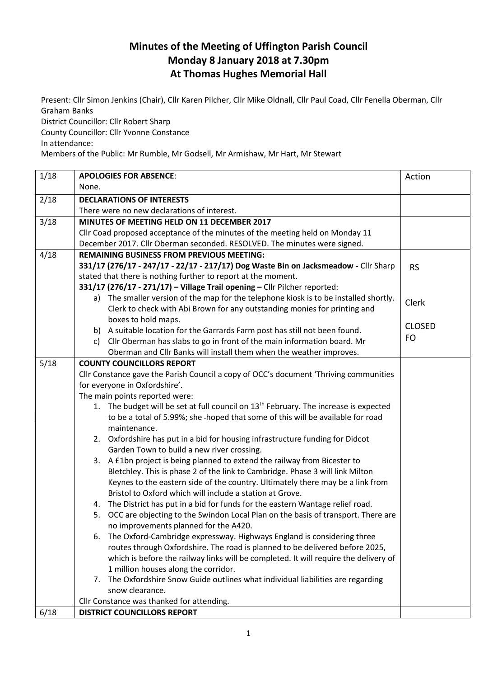## **Minutes of the Meeting of Uffington Parish Council Monday 8 January 2018 at 7.30pm At Thomas Hughes Memorial Hall**

Present: Cllr Simon Jenkins (Chair), Cllr Karen Pilcher, Cllr Mike Oldnall, Cllr Paul Coad, Cllr Fenella Oberman, Cllr Graham Banks

District Councillor: Cllr Robert Sharp

County Councillor: Cllr Yvonne Constance

In attendance:

Members of the Public: Mr Rumble, Mr Godsell, Mr Armishaw, Mr Hart, Mr Stewart

| 1/18 | <b>APOLOGIES FOR ABSENCE:</b>                                                                    | Action        |
|------|--------------------------------------------------------------------------------------------------|---------------|
|      | None.                                                                                            |               |
| 2/18 | <b>DECLARATIONS OF INTERESTS</b>                                                                 |               |
|      | There were no new declarations of interest.                                                      |               |
| 3/18 | MINUTES OF MEETING HELD ON 11 DECEMBER 2017                                                      |               |
|      | Cllr Coad proposed acceptance of the minutes of the meeting held on Monday 11                    |               |
|      | December 2017. Cllr Oberman seconded. RESOLVED. The minutes were signed.                         |               |
| 4/18 | <b>REMAINING BUSINESS FROM PREVIOUS MEETING:</b>                                                 |               |
|      | 331/17 (276/17 - 247/17 - 22/17 - 217/17) Dog Waste Bin on Jacksmeadow - Cllr Sharp              | <b>RS</b>     |
|      | stated that there is nothing further to report at the moment.                                    |               |
|      | 331/17 (276/17 - 271/17) - Village Trail opening - Cllr Pilcher reported:                        |               |
|      | a) The smaller version of the map for the telephone kiosk is to be installed shortly.            | Clerk         |
|      | Clerk to check with Abi Brown for any outstanding monies for printing and                        |               |
|      | boxes to hold maps.                                                                              |               |
|      | b) A suitable location for the Garrards Farm post has still not been found.                      | <b>CLOSED</b> |
|      | Cllr Oberman has slabs to go in front of the main information board. Mr<br>C)                    | FO            |
|      | Oberman and Cllr Banks will install them when the weather improves.                              |               |
| 5/18 | <b>COUNTY COUNCILLORS REPORT</b>                                                                 |               |
|      | Cllr Constance gave the Parish Council a copy of OCC's document 'Thriving communities            |               |
|      | for everyone in Oxfordshire'.                                                                    |               |
|      | The main points reported were:                                                                   |               |
|      | 1. The budget will be set at full council on 13 <sup>th</sup> February. The increase is expected |               |
|      | to be a total of 5.99%; she -hoped that some of this will be available for road                  |               |
|      | maintenance.                                                                                     |               |
|      | 2. Oxfordshire has put in a bid for housing infrastructure funding for Didcot                    |               |
|      | Garden Town to build a new river crossing.                                                       |               |
|      | 3. A £1bn project is being planned to extend the railway from Bicester to                        |               |
|      | Bletchley. This is phase 2 of the link to Cambridge. Phase 3 will link Milton                    |               |
|      | Keynes to the eastern side of the country. Ultimately there may be a link from                   |               |
|      | Bristol to Oxford which will include a station at Grove.                                         |               |
|      | The District has put in a bid for funds for the eastern Wantage relief road.<br>4.               |               |
|      | OCC are objecting to the Swindon Local Plan on the basis of transport. There are<br>5.           |               |
|      | no improvements planned for the A420.                                                            |               |
|      | The Oxford-Cambridge expressway. Highways England is considering three<br>6.                     |               |
|      | routes through Oxfordshire. The road is planned to be delivered before 2025,                     |               |
|      | which is before the railway links will be completed. It will require the delivery of             |               |
|      | 1 million houses along the corridor.                                                             |               |
|      | The Oxfordshire Snow Guide outlines what individual liabilities are regarding<br>7.              |               |
|      | snow clearance.                                                                                  |               |
|      | Cllr Constance was thanked for attending.                                                        |               |
| 6/18 | <b>DISTRICT COUNCILLORS REPORT</b>                                                               |               |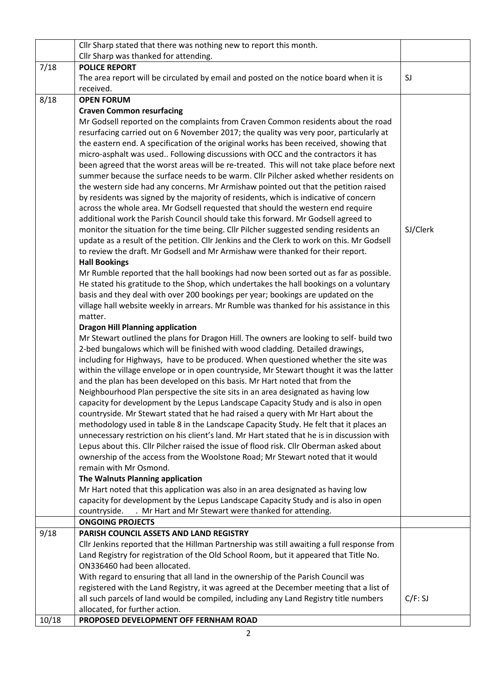|       | Cllr Sharp stated that there was nothing new to report this month.                                                                                                          |          |
|-------|-----------------------------------------------------------------------------------------------------------------------------------------------------------------------------|----------|
|       | Cllr Sharp was thanked for attending.                                                                                                                                       |          |
| 7/18  | <b>POLICE REPORT</b>                                                                                                                                                        |          |
|       | The area report will be circulated by email and posted on the notice board when it is                                                                                       | SJ       |
|       | received.                                                                                                                                                                   |          |
| 8/18  | <b>OPEN FORUM</b>                                                                                                                                                           |          |
|       | <b>Craven Common resurfacing</b>                                                                                                                                            |          |
|       | Mr Godsell reported on the complaints from Craven Common residents about the road                                                                                           |          |
|       | resurfacing carried out on 6 November 2017; the quality was very poor, particularly at                                                                                      |          |
|       | the eastern end. A specification of the original works has been received, showing that                                                                                      |          |
|       | micro-asphalt was used Following discussions with OCC and the contractors it has                                                                                            |          |
|       | been agreed that the worst areas will be re-treated. This will not take place before next                                                                                   |          |
|       | summer because the surface needs to be warm. Cllr Pilcher asked whether residents on                                                                                        |          |
|       | the western side had any concerns. Mr Armishaw pointed out that the petition raised                                                                                         |          |
|       | by residents was signed by the majority of residents, which is indicative of concern                                                                                        |          |
|       | across the whole area. Mr Godsell requested that should the western end require<br>additional work the Parish Council should take this forward. Mr Godsell agreed to        |          |
|       | monitor the situation for the time being. Cllr Pilcher suggested sending residents an                                                                                       | SJ/Clerk |
|       | update as a result of the petition. Cllr Jenkins and the Clerk to work on this. Mr Godsell                                                                                  |          |
|       | to review the draft. Mr Godsell and Mr Armishaw were thanked for their report.                                                                                              |          |
|       | <b>Hall Bookings</b>                                                                                                                                                        |          |
|       | Mr Rumble reported that the hall bookings had now been sorted out as far as possible.                                                                                       |          |
|       | He stated his gratitude to the Shop, which undertakes the hall bookings on a voluntary                                                                                      |          |
|       | basis and they deal with over 200 bookings per year; bookings are updated on the                                                                                            |          |
|       | village hall website weekly in arrears. Mr Rumble was thanked for his assistance in this                                                                                    |          |
|       | matter.                                                                                                                                                                     |          |
|       | <b>Dragon Hill Planning application</b>                                                                                                                                     |          |
|       | Mr Stewart outlined the plans for Dragon Hill. The owners are looking to self- build two                                                                                    |          |
|       | 2-bed bungalows which will be finished with wood cladding. Detailed drawings,                                                                                               |          |
|       | including for Highways, have to be produced. When questioned whether the site was                                                                                           |          |
|       | within the village envelope or in open countryside, Mr Stewart thought it was the latter                                                                                    |          |
|       | and the plan has been developed on this basis. Mr Hart noted that from the                                                                                                  |          |
|       | Neighbourhood Plan perspective the site sits in an area designated as having low                                                                                            |          |
|       | capacity for development by the Lepus Landscape Capacity Study and is also in open<br>countryside. Mr Stewart stated that he had raised a query with Mr Hart about the      |          |
|       | methodology used in table 8 in the Landscape Capacity Study. He felt that it places an                                                                                      |          |
|       | unnecessary restriction on his client's land. Mr Hart stated that he is in discussion with                                                                                  |          |
|       | Lepus about this. Cllr Pilcher raised the issue of flood risk. Cllr Oberman asked about                                                                                     |          |
|       | ownership of the access from the Woolstone Road; Mr Stewart noted that it would                                                                                             |          |
|       | remain with Mr Osmond.                                                                                                                                                      |          |
|       | The Walnuts Planning application                                                                                                                                            |          |
|       | Mr Hart noted that this application was also in an area designated as having low                                                                                            |          |
|       | capacity for development by the Lepus Landscape Capacity Study and is also in open                                                                                          |          |
|       | . Mr Hart and Mr Stewart were thanked for attending.<br>countryside.                                                                                                        |          |
|       | <b>ONGOING PROJECTS</b>                                                                                                                                                     |          |
| 9/18  | PARISH COUNCIL ASSETS AND LAND REGISTRY                                                                                                                                     |          |
|       | Cllr Jenkins reported that the Hillman Partnership was still awaiting a full response from                                                                                  |          |
|       | Land Registry for registration of the Old School Room, but it appeared that Title No.                                                                                       |          |
|       | ON336460 had been allocated.                                                                                                                                                |          |
|       | With regard to ensuring that all land in the ownership of the Parish Council was<br>registered with the Land Registry, it was agreed at the December meeting that a list of |          |
|       | all such parcels of land would be compiled, including any Land Registry title numbers                                                                                       | C/F: SI  |
|       | allocated, for further action.                                                                                                                                              |          |
| 10/18 | PROPOSED DEVELOPMENT OFF FERNHAM ROAD                                                                                                                                       |          |
|       |                                                                                                                                                                             |          |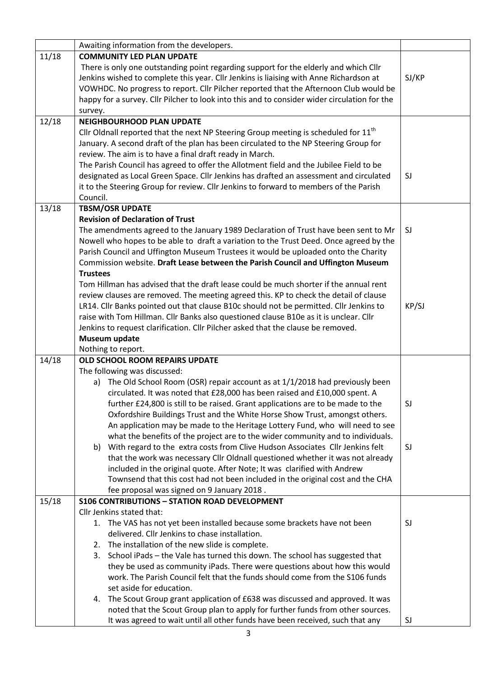|       | Awaiting information from the developers.                                                                                                                       |       |
|-------|-----------------------------------------------------------------------------------------------------------------------------------------------------------------|-------|
| 11/18 | <b>COMMUNITY LED PLAN UPDATE</b>                                                                                                                                |       |
|       | There is only one outstanding point regarding support for the elderly and which Cllr                                                                            |       |
|       | Jenkins wished to complete this year. Cllr Jenkins is liaising with Anne Richardson at                                                                          | SJ/KP |
|       | VOWHDC. No progress to report. Cllr Pilcher reported that the Afternoon Club would be                                                                           |       |
|       | happy for a survey. Cllr Pilcher to look into this and to consider wider circulation for the                                                                    |       |
|       | survey.                                                                                                                                                         |       |
| 12/18 | <b>NEIGHBOURHOOD PLAN UPDATE</b>                                                                                                                                |       |
|       | Cllr Oldnall reported that the next NP Steering Group meeting is scheduled for $11th$                                                                           |       |
|       | January. A second draft of the plan has been circulated to the NP Steering Group for                                                                            |       |
|       | review. The aim is to have a final draft ready in March.                                                                                                        |       |
|       | The Parish Council has agreed to offer the Allotment field and the Jubilee Field to be                                                                          |       |
|       | designated as Local Green Space. Cllr Jenkins has drafted an assessment and circulated                                                                          | SJ    |
|       | it to the Steering Group for review. Cllr Jenkins to forward to members of the Parish                                                                           |       |
|       | Council.                                                                                                                                                        |       |
| 13/18 | <b>TBSM/OSR UPDATE</b>                                                                                                                                          |       |
|       | <b>Revision of Declaration of Trust</b>                                                                                                                         |       |
|       | The amendments agreed to the January 1989 Declaration of Trust have been sent to Mr                                                                             | SJ    |
|       | Nowell who hopes to be able to draft a variation to the Trust Deed. Once agreed by the                                                                          |       |
|       | Parish Council and Uffington Museum Trustees it would be uploaded onto the Charity                                                                              |       |
|       | Commission website. Draft Lease between the Parish Council and Uffington Museum                                                                                 |       |
|       | <b>Trustees</b>                                                                                                                                                 |       |
|       | Tom Hillman has advised that the draft lease could be much shorter if the annual rent                                                                           |       |
|       | review clauses are removed. The meeting agreed this. KP to check the detail of clause                                                                           |       |
|       | LR14. Cllr Banks pointed out that clause B10c should not be permitted. Cllr Jenkins to                                                                          | KP/SJ |
|       | raise with Tom Hillman. Cllr Banks also questioned clause B10e as it is unclear. Cllr                                                                           |       |
|       | Jenkins to request clarification. Cllr Pilcher asked that the clause be removed.                                                                                |       |
|       | Museum update                                                                                                                                                   |       |
|       | Nothing to report.                                                                                                                                              |       |
| 14/18 | OLD SCHOOL ROOM REPAIRS UPDATE                                                                                                                                  |       |
|       | The following was discussed:                                                                                                                                    |       |
|       | The Old School Room (OSR) repair account as at 1/1/2018 had previously been<br>a)                                                                               |       |
|       | circulated. It was noted that £28,000 has been raised and £10,000 spent. A                                                                                      |       |
|       | further £24,800 is still to be raised. Grant applications are to be made to the                                                                                 | SJ    |
|       | Oxfordshire Buildings Trust and the White Horse Show Trust, amongst others.                                                                                     |       |
|       | An application may be made to the Heritage Lottery Fund, who will need to see                                                                                   |       |
|       | what the benefits of the project are to the wider community and to individuals.                                                                                 |       |
|       | With regard to the extra costs from Clive Hudson Associates Cllr Jenkins felt<br>b)                                                                             | SJ    |
|       | that the work was necessary Cllr Oldnall questioned whether it was not already                                                                                  |       |
|       | included in the original quote. After Note; It was clarified with Andrew                                                                                        |       |
|       | Townsend that this cost had not been included in the original cost and the CHA                                                                                  |       |
|       | fee proposal was signed on 9 January 2018.                                                                                                                      |       |
| 15/18 | <b>S106 CONTRIBUTIONS - STATION ROAD DEVELOPMENT</b>                                                                                                            |       |
|       | Cllr Jenkins stated that:                                                                                                                                       |       |
|       | The VAS has not yet been installed because some brackets have not been<br>1.                                                                                    | SJ    |
|       | delivered. Cllr Jenkins to chase installation.                                                                                                                  |       |
|       | 2. The installation of the new slide is complete.                                                                                                               |       |
|       | 3. School iPads - the Vale has turned this down. The school has suggested that                                                                                  |       |
|       | they be used as community iPads. There were questions about how this would                                                                                      |       |
|       | work. The Parish Council felt that the funds should come from the S106 funds                                                                                    |       |
|       | set aside for education.                                                                                                                                        |       |
|       |                                                                                                                                                                 |       |
|       | The Scout Group grant application of £638 was discussed and approved. It was<br>4.                                                                              |       |
|       | noted that the Scout Group plan to apply for further funds from other sources.<br>It was agreed to wait until all other funds have been received, such that any | SJ    |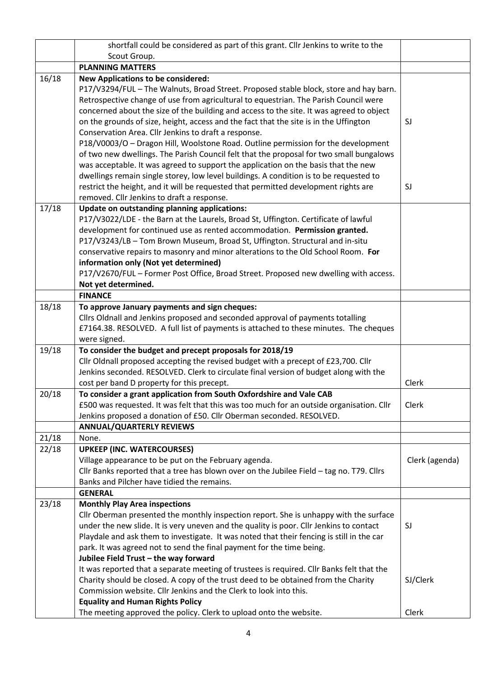|       | shortfall could be considered as part of this grant. Cllr Jenkins to write to the                                                                                                                                                                                                                                                                                                                                                                                                                                                                                                                                                                                                                                                                                                                                                       |                |
|-------|-----------------------------------------------------------------------------------------------------------------------------------------------------------------------------------------------------------------------------------------------------------------------------------------------------------------------------------------------------------------------------------------------------------------------------------------------------------------------------------------------------------------------------------------------------------------------------------------------------------------------------------------------------------------------------------------------------------------------------------------------------------------------------------------------------------------------------------------|----------------|
|       | Scout Group.                                                                                                                                                                                                                                                                                                                                                                                                                                                                                                                                                                                                                                                                                                                                                                                                                            |                |
|       | <b>PLANNING MATTERS</b>                                                                                                                                                                                                                                                                                                                                                                                                                                                                                                                                                                                                                                                                                                                                                                                                                 |                |
| 16/18 | <b>New Applications to be considered:</b><br>P17/V3294/FUL - The Walnuts, Broad Street. Proposed stable block, store and hay barn.<br>Retrospective change of use from agricultural to equestrian. The Parish Council were<br>concerned about the size of the building and access to the site. It was agreed to object<br>on the grounds of size, height, access and the fact that the site is in the Uffington<br>Conservation Area. Cllr Jenkins to draft a response.<br>P18/V0003/O - Dragon Hill, Woolstone Road. Outline permission for the development<br>of two new dwellings. The Parish Council felt that the proposal for two small bungalows<br>was acceptable. It was agreed to support the application on the basis that the new<br>dwellings remain single storey, low level buildings. A condition is to be requested to | SJ             |
|       | restrict the height, and it will be requested that permitted development rights are<br>removed. Cllr Jenkins to draft a response.                                                                                                                                                                                                                                                                                                                                                                                                                                                                                                                                                                                                                                                                                                       | SJ             |
| 17/18 | <b>Update on outstanding planning applications:</b><br>P17/V3022/LDE - the Barn at the Laurels, Broad St, Uffington. Certificate of lawful<br>development for continued use as rented accommodation. Permission granted.<br>P17/V3243/LB - Tom Brown Museum, Broad St, Uffington. Structural and in-situ<br>conservative repairs to masonry and minor alterations to the Old School Room. For<br>information only (Not yet determined)<br>P17/V2670/FUL - Former Post Office, Broad Street. Proposed new dwelling with access.<br>Not yet determined.                                                                                                                                                                                                                                                                                   |                |
|       | <b>FINANCE</b>                                                                                                                                                                                                                                                                                                                                                                                                                                                                                                                                                                                                                                                                                                                                                                                                                          |                |
| 18/18 | To approve January payments and sign cheques:<br>Cllrs Oldnall and Jenkins proposed and seconded approval of payments totalling<br>£7164.38. RESOLVED. A full list of payments is attached to these minutes. The cheques<br>were signed.                                                                                                                                                                                                                                                                                                                                                                                                                                                                                                                                                                                                |                |
| 19/18 | To consider the budget and precept proposals for 2018/19<br>Cllr Oldnall proposed accepting the revised budget with a precept of £23,700. Cllr<br>Jenkins seconded. RESOLVED. Clerk to circulate final version of budget along with the<br>cost per band D property for this precept.                                                                                                                                                                                                                                                                                                                                                                                                                                                                                                                                                   | Clerk          |
| 20/18 | To consider a grant application from South Oxfordshire and Vale CAB<br>£500 was requested. It was felt that this was too much for an outside organisation. Cllr<br>Jenkins proposed a donation of £50. Cllr Oberman seconded. RESOLVED.                                                                                                                                                                                                                                                                                                                                                                                                                                                                                                                                                                                                 | Clerk          |
|       | <b>ANNUAL/QUARTERLY REVIEWS</b>                                                                                                                                                                                                                                                                                                                                                                                                                                                                                                                                                                                                                                                                                                                                                                                                         |                |
| 21/18 | None.                                                                                                                                                                                                                                                                                                                                                                                                                                                                                                                                                                                                                                                                                                                                                                                                                                   |                |
| 22/18 | <b>UPKEEP (INC. WATERCOURSES)</b><br>Village appearance to be put on the February agenda.<br>Cllr Banks reported that a tree has blown over on the Jubilee Field - tag no. T79. Cllrs<br>Banks and Pilcher have tidied the remains.                                                                                                                                                                                                                                                                                                                                                                                                                                                                                                                                                                                                     | Clerk (agenda) |
|       | <b>GENERAL</b>                                                                                                                                                                                                                                                                                                                                                                                                                                                                                                                                                                                                                                                                                                                                                                                                                          |                |
| 23/18 | <b>Monthly Play Area inspections</b><br>Cllr Oberman presented the monthly inspection report. She is unhappy with the surface<br>under the new slide. It is very uneven and the quality is poor. Cllr Jenkins to contact<br>Playdale and ask them to investigate. It was noted that their fencing is still in the car<br>park. It was agreed not to send the final payment for the time being.                                                                                                                                                                                                                                                                                                                                                                                                                                          | SJ             |
|       | Jubilee Field Trust - the way forward<br>It was reported that a separate meeting of trustees is required. Cllr Banks felt that the<br>Charity should be closed. A copy of the trust deed to be obtained from the Charity<br>Commission website. Cllr Jenkins and the Clerk to look into this.<br><b>Equality and Human Rights Policy</b>                                                                                                                                                                                                                                                                                                                                                                                                                                                                                                | SJ/Clerk       |
|       | The meeting approved the policy. Clerk to upload onto the website.                                                                                                                                                                                                                                                                                                                                                                                                                                                                                                                                                                                                                                                                                                                                                                      | Clerk          |